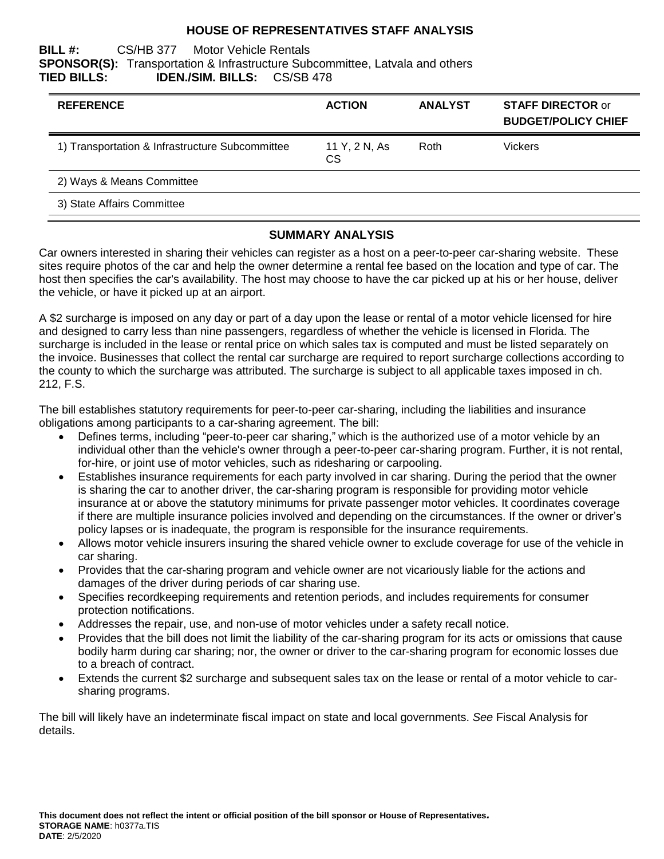### **HOUSE OF REPRESENTATIVES STAFF ANALYSIS**

#### **BILL #:** CS/HB 377 Motor Vehicle Rentals **SPONSOR(S):** Transportation & Infrastructure Subcommittee, Latvala and others **TIED BILLS: IDEN./SIM. BILLS:** CS/SB 478

| <b>REFERENCE</b>                                | <b>ACTION</b>              | <b>ANALYST</b> | <b>STAFF DIRECTOR or</b><br><b>BUDGET/POLICY CHIEF</b> |
|-------------------------------------------------|----------------------------|----------------|--------------------------------------------------------|
| 1) Transportation & Infrastructure Subcommittee | 11 Y, 2 N, As<br><b>CS</b> | Roth           | <b>Vickers</b>                                         |
| 2) Ways & Means Committee                       |                            |                |                                                        |
| 3) State Affairs Committee                      |                            |                |                                                        |

#### **SUMMARY ANALYSIS**

Car owners interested in sharing their vehicles can register as a host on a peer-to-peer car-sharing website. These sites require photos of the car and help the owner determine a rental fee based on the location and type of car. The host then specifies the car's availability. The host may choose to have the car picked up at his or her house, deliver the vehicle, or have it picked up at an airport.

A \$2 surcharge is imposed on any day or part of a day upon the lease or rental of a motor vehicle licensed for hire and designed to carry less than nine passengers, regardless of whether the vehicle is licensed in Florida. The surcharge is included in the lease or rental price on which sales tax is computed and must be listed separately on the invoice. Businesses that collect the rental car surcharge are required to report surcharge collections according to the county to which the surcharge was attributed. The surcharge is subject to all applicable taxes imposed in ch. 212, F.S.

The bill establishes statutory requirements for peer-to-peer car-sharing, including the liabilities and insurance obligations among participants to a car-sharing agreement. The bill:

- Defines terms, including "peer-to-peer car sharing," which is the authorized use of a motor vehicle by an individual other than the vehicle's owner through a peer-to-peer car-sharing program. Further, it is not rental, for-hire, or joint use of motor vehicles, such as ridesharing or carpooling.
- Establishes insurance requirements for each party involved in car sharing. During the period that the owner is sharing the car to another driver, the car-sharing program is responsible for providing motor vehicle insurance at or above the statutory minimums for private passenger motor vehicles. It coordinates coverage if there are multiple insurance policies involved and depending on the circumstances. If the owner or driver's policy lapses or is inadequate, the program is responsible for the insurance requirements.
- Allows motor vehicle insurers insuring the shared vehicle owner to exclude coverage for use of the vehicle in car sharing.
- Provides that the car-sharing program and vehicle owner are not vicariously liable for the actions and damages of the driver during periods of car sharing use.
- Specifies recordkeeping requirements and retention periods, and includes requirements for consumer protection notifications.
- Addresses the repair, use, and non-use of motor vehicles under a safety recall notice.
- Provides that the bill does not limit the liability of the car-sharing program for its acts or omissions that cause bodily harm during car sharing; nor, the owner or driver to the car-sharing program for economic losses due to a breach of contract.
- Extends the current \$2 surcharge and subsequent sales tax on the lease or rental of a motor vehicle to carsharing programs.

The bill will likely have an indeterminate fiscal impact on state and local governments. *See* Fiscal Analysis for details.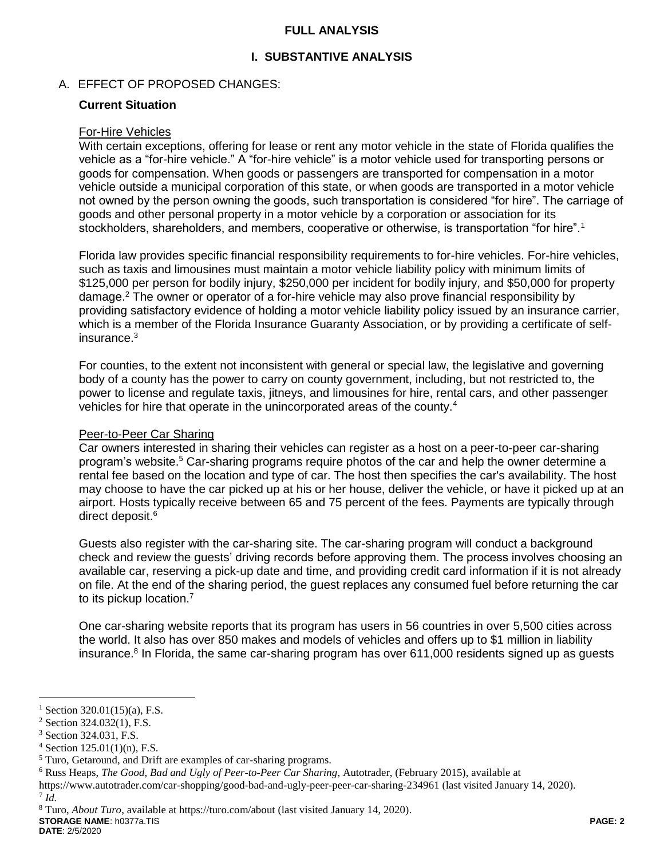### **FULL ANALYSIS**

# **I. SUBSTANTIVE ANALYSIS**

## A. EFFECT OF PROPOSED CHANGES:

#### **Current Situation**

#### For-Hire Vehicles

With certain exceptions, offering for lease or rent any motor vehicle in the state of Florida qualifies the vehicle as a "for-hire vehicle." A "for-hire vehicle" is a motor vehicle used for transporting persons or goods for compensation. When goods or passengers are transported for compensation in a motor vehicle outside a municipal corporation of this state, or when goods are transported in a motor vehicle not owned by the person owning the goods, such transportation is considered "for hire". The carriage of goods and other personal property in a motor vehicle by a corporation or association for its stockholders, shareholders, and members, cooperative or otherwise, is transportation "for hire".<sup>1</sup>

Florida law provides specific financial responsibility requirements to for-hire vehicles. For-hire vehicles, such as taxis and limousines must maintain a motor vehicle liability policy with minimum limits of \$125,000 per person for bodily injury, \$250,000 per incident for bodily injury, and \$50,000 for property damage.<sup>2</sup> The owner or operator of a for-hire vehicle may also prove financial responsibility by providing satisfactory evidence of holding a motor vehicle liability policy issued by an insurance carrier, which is a member of the Florida Insurance Guaranty Association, or by providing a certificate of selfinsurance.<sup>3</sup>

For counties, to the extent not inconsistent with general or special law, the legislative and governing body of a county has the power to carry on county government, including, but not restricted to, the power to license and regulate taxis, jitneys, and limousines for hire, rental cars, and other passenger vehicles for hire that operate in the unincorporated areas of the county.<sup>4</sup>

#### Peer-to-Peer Car Sharing

Car owners interested in sharing their vehicles can register as a host on a peer-to-peer car-sharing program's website.<sup>5</sup> Car-sharing programs require photos of the car and help the owner determine a rental fee based on the location and type of car. The host then specifies the car's availability. The host may choose to have the car picked up at his or her house, deliver the vehicle, or have it picked up at an airport. Hosts typically receive between 65 and 75 percent of the fees. Payments are typically through direct deposit.<sup>6</sup>

Guests also register with the car-sharing site. The car-sharing program will conduct a background check and review the guests' driving records before approving them. The process involves choosing an available car, reserving a pick-up date and time, and providing credit card information if it is not already on file. At the end of the sharing period, the guest replaces any consumed fuel before returning the car to its pickup location.<sup>7</sup>

One car-sharing website reports that its program has users in 56 countries in over 5,500 cities across the world. It also has over 850 makes and models of vehicles and offers up to \$1 million in liability insurance.<sup>8</sup> In Florida, the same car-sharing program has over 611,000 residents signed up as guests

7 *Id.* 

 $\overline{a}$ 

**DATE**: 2/5/2020

Section  $320.01(15)(a)$ , F.S.

 $2$  Section 324.032(1), F.S.

<sup>3</sup> Section 324.031, F.S.

 $4$  Section 125.01(1)(n), F.S.

<sup>5</sup> Turo, Getaround, and Drift are examples of car-sharing programs.

<sup>6</sup> Russ Heaps, *The Good, Bad and Ugly of Peer-to-Peer Car Sharing*, Autotrader, (February 2015), available at

https://www.autotrader.com/car-shopping/good-bad-and-ugly-peer-peer-car-sharing-234961 (last visited January 14, 2020).

**STORAGE NAME**: h0377a.TIS **PAGE: 2** <sup>8</sup> Turo, *About Turo*, available at https://turo.com/about (last visited January 14, 2020).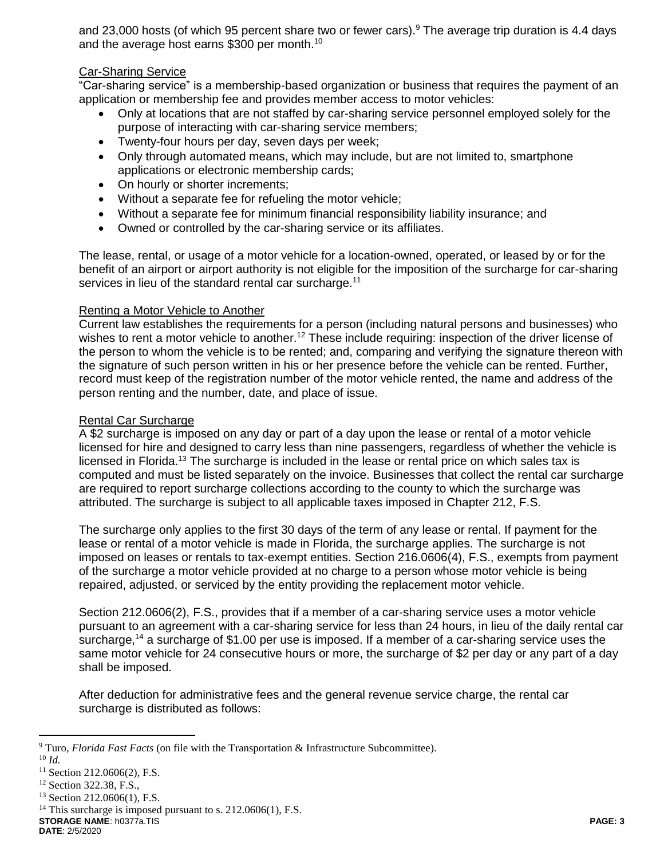and 23,000 hosts (of which 95 percent share two or fewer cars).<sup>9</sup> The average trip duration is 4.4 days and the average host earns \$300 per month.<sup>10</sup>

## Car-Sharing Service

"Car-sharing service" is a membership-based organization or business that requires the payment of an application or membership fee and provides member access to motor vehicles:

- Only at locations that are not staffed by car-sharing service personnel employed solely for the purpose of interacting with car-sharing service members;
- Twenty-four hours per day, seven days per week;
- Only through automated means, which may include, but are not limited to, smartphone applications or electronic membership cards;
- On hourly or shorter increments;
- Without a separate fee for refueling the motor vehicle;
- Without a separate fee for minimum financial responsibility liability insurance; and
- Owned or controlled by the car-sharing service or its affiliates.

The lease, rental, or usage of a motor vehicle for a location-owned, operated, or leased by or for the benefit of an airport or airport authority is not eligible for the imposition of the surcharge for car-sharing services in lieu of the standard rental car surcharge.<sup>11</sup>

#### Renting a Motor Vehicle to Another

Current law establishes the requirements for a person (including natural persons and businesses) who wishes to rent a motor vehicle to another.<sup>12</sup> These include requiring: inspection of the driver license of the person to whom the vehicle is to be rented; and, comparing and verifying the signature thereon with the signature of such person written in his or her presence before the vehicle can be rented. Further, record must keep of the registration number of the motor vehicle rented, the name and address of the person renting and the number, date, and place of issue.

#### Rental Car Surcharge

A \$2 surcharge is imposed on any day or part of a day upon the lease or rental of a motor vehicle licensed for hire and designed to carry less than nine passengers, regardless of whether the vehicle is licensed in Florida.<sup>13</sup> The surcharge is included in the lease or rental price on which sales tax is computed and must be listed separately on the invoice. Businesses that collect the rental car surcharge are required to report surcharge collections according to the county to which the surcharge was attributed. The surcharge is subject to all applicable taxes imposed in Chapter 212, F.S.

The surcharge only applies to the first 30 days of the term of any lease or rental. If payment for the lease or rental of a motor vehicle is made in Florida, the surcharge applies. The surcharge is not imposed on leases or rentals to tax-exempt entities. Section 216.0606(4), F.S., exempts from payment of the surcharge a motor vehicle provided at no charge to a person whose motor vehicle is being repaired, adjusted, or serviced by the entity providing the replacement motor vehicle.

Section 212.0606(2), F.S., provides that if a member of a car-sharing service uses a motor vehicle pursuant to an agreement with a car-sharing service for less than 24 hours, in lieu of the daily rental car surcharge,<sup>14</sup> a surcharge of \$1.00 per use is imposed. If a member of a car-sharing service uses the same motor vehicle for 24 consecutive hours or more, the surcharge of \$2 per day or any part of a day shall be imposed.

After deduction for administrative fees and the general revenue service charge, the rental car surcharge is distributed as follows:

 $\overline{a}$ 

**DATE**: 2/5/2020

<sup>9</sup> Turo, *Florida Fast Facts* (on file with the Transportation & Infrastructure Subcommittee).

<sup>10</sup> *Id.*

<sup>&</sup>lt;sup>11</sup> Section 212.0606(2), F.S.

<sup>&</sup>lt;sup>12</sup> Section 322.38, F.S.,

<sup>13</sup> Section 212.0606(1), F.S.

**STORAGE NAME**: h0377a.TIS **PAGE: 3** <sup>14</sup> This surcharge is imposed pursuant to s.  $212.0606(1)$ , F.S.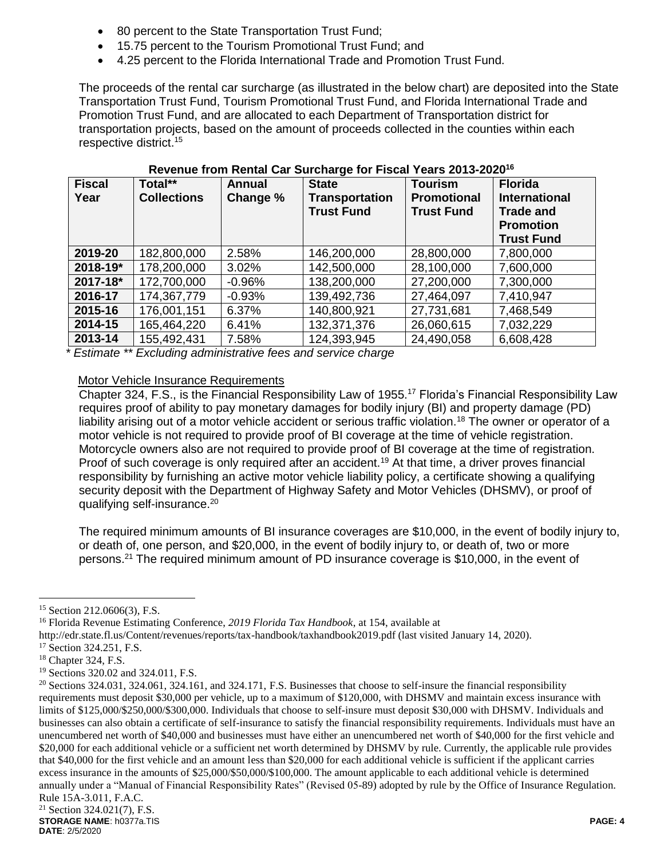- 80 percent to the State Transportation Trust Fund;
- 15.75 percent to the Tourism Promotional Trust Fund; and
- 4.25 percent to the Florida International Trade and Promotion Trust Fund.

The proceeds of the rental car surcharge (as illustrated in the below chart) are deposited into the State Transportation Trust Fund, Tourism Promotional Trust Fund, and Florida International Trade and Promotion Trust Fund, and are allocated to each Department of Transportation district for transportation projects, based on the amount of proceeds collected in the counties within each respective district.<sup>15</sup>

| <b>Fiscal</b><br>Year | Total**<br><b>Collections</b> | <b>Annual</b><br>Change % | <b>State</b><br><b>Transportation</b><br><b>Trust Fund</b> | <b>Tourism</b><br><b>Promotional</b><br><b>Trust Fund</b> | <b>Florida</b><br><b>International</b><br><b>Trade and</b><br><b>Promotion</b><br><b>Trust Fund</b> |
|-----------------------|-------------------------------|---------------------------|------------------------------------------------------------|-----------------------------------------------------------|-----------------------------------------------------------------------------------------------------|
| 2019-20               | 182,800,000                   | 2.58%                     | 146,200,000                                                | 28,800,000                                                | 7,800,000                                                                                           |
| 2018-19*              | 178,200,000                   | 3.02%                     | 142,500,000                                                | 28,100,000                                                | 7,600,000                                                                                           |
| 2017-18*              | 172,700,000                   | $-0.96%$                  | 138,200,000                                                | 27,200,000                                                | 7,300,000                                                                                           |
| 2016-17               | 174,367,779                   | $-0.93%$                  | 139,492,736                                                | 27,464,097                                                | 7,410,947                                                                                           |
| 2015-16               | 176,001,151                   | 6.37%                     | 140,800,921                                                | 27,731,681                                                | 7,468,549                                                                                           |
| 2014-15               | 165,464,220                   | 6.41%                     | 132,371,376                                                | 26,060,615                                                | 7,032,229                                                                                           |
| 2013-14               | 155,492,431                   | 7.58%                     | 124,393,945                                                | 24,490,058                                                | 6,608,428                                                                                           |

#### **Revenue from Rental Car Surcharge for Fiscal Years 2013-2020<sup>16</sup>**

 *\* Estimate \*\* Excluding administrative fees and service charge* 

## Motor Vehicle Insurance Requirements

Chapter 324, F.S., is the Financial Responsibility Law of 1955.<sup>17</sup> Florida's Financial Responsibility Law requires proof of ability to pay monetary damages for bodily injury (BI) and property damage (PD) liability arising out of a motor vehicle accident or serious traffic violation.<sup>18</sup> The owner or operator of a motor vehicle is not required to provide proof of BI coverage at the time of vehicle registration. Motorcycle owners also are not required to provide proof of BI coverage at the time of registration. Proof of such coverage is only required after an accident.<sup>19</sup> At that time, a driver proves financial responsibility by furnishing an active motor vehicle liability policy, a certificate showing a qualifying security deposit with the Department of Highway Safety and Motor Vehicles (DHSMV), or proof of qualifying self-insurance.<sup>20</sup>

The required minimum amounts of BI insurance coverages are \$10,000, in the event of bodily injury to, or death of, one person, and \$20,000, in the event of bodily injury to, or death of, two or more persons.<sup>21</sup> The required minimum amount of PD insurance coverage is \$10,000, in the event of

<sup>16</sup> Florida Revenue Estimating Conference, *2019 Florida Tax Handbook*, at 154, available at

http://edr.state.fl.us/Content/revenues/reports/tax-handbook/taxhandbook2019.pdf (last visited January 14, 2020).

<sup>15</sup> Section 212.0606(3), F.S.

<sup>&</sup>lt;sup>17</sup> Section 324.251, F.S.

<sup>18</sup> Chapter 324, F.S.

<sup>19</sup> Sections 320.02 and 324.011, F.S.

**STORAGE NAME**: h0377a.TIS **PAGE: 4** <sup>20</sup> Sections 324.031, 324.061, 324.161, and 324.171, F.S. Businesses that choose to self-insure the financial responsibility requirements must deposit \$30,000 per vehicle, up to a maximum of \$120,000, with DHSMV and maintain excess insurance with limits of \$125,000/\$250,000/\$300,000. Individuals that choose to self-insure must deposit \$30,000 with DHSMV. Individuals and businesses can also obtain a certificate of self-insurance to satisfy the financial responsibility requirements. Individuals must have an unencumbered net worth of \$40,000 and businesses must have either an unencumbered net worth of \$40,000 for the first vehicle and \$20,000 for each additional vehicle or a sufficient net worth determined by DHSMV by rule. Currently, the applicable rule provides that \$40,000 for the first vehicle and an amount less than \$20,000 for each additional vehicle is sufficient if the applicant carries excess insurance in the amounts of \$25,000/\$50,000/\$100,000. The amount applicable to each additional vehicle is determined annually under a "Manual of Financial Responsibility Rates" (Revised 05-89) adopted by rule by the Office of Insurance Regulation. Rule 15A-3.011, F.A.C.  $21$  Section 324.021(7), F.S.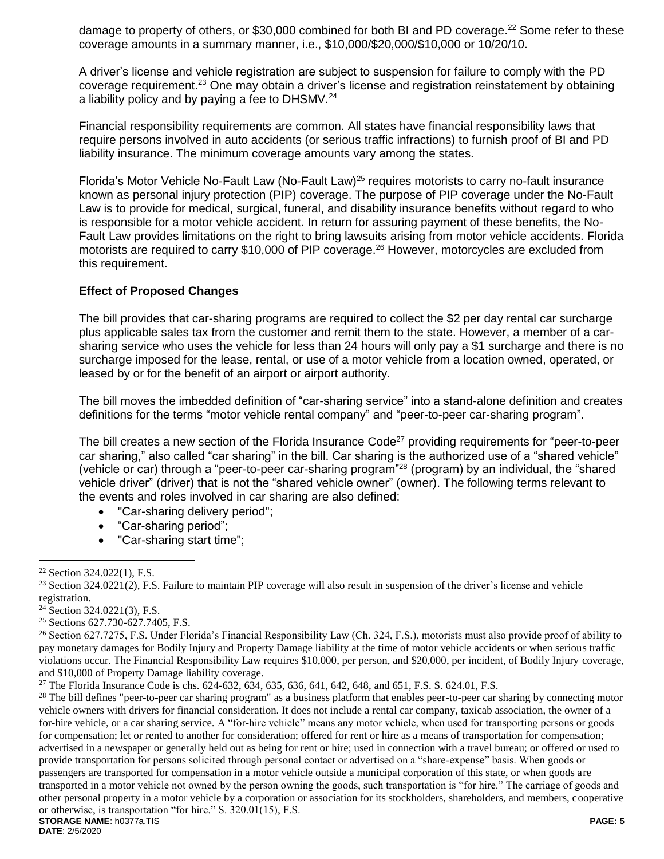damage to property of others, or \$30,000 combined for both BI and PD coverage.<sup>22</sup> Some refer to these coverage amounts in a summary manner, i.e., \$10,000/\$20,000/\$10,000 or 10/20/10.

A driver's license and vehicle registration are subject to suspension for failure to comply with the PD coverage requirement.<sup>23</sup> One may obtain a driver's license and registration reinstatement by obtaining a liability policy and by paying a fee to DHSMV.<sup>24</sup>

Financial responsibility requirements are common. All states have financial responsibility laws that require persons involved in auto accidents (or serious traffic infractions) to furnish proof of BI and PD liability insurance. The minimum coverage amounts vary among the states.

Florida's Motor Vehicle No-Fault Law (No-Fault Law)<sup>25</sup> requires motorists to carry no-fault insurance known as personal injury protection (PIP) coverage. The purpose of PIP coverage under the No-Fault Law is to provide for medical, surgical, funeral, and disability insurance benefits without regard to who is responsible for a motor vehicle accident. In return for assuring payment of these benefits, the No-Fault Law provides limitations on the right to bring lawsuits arising from motor vehicle accidents. Florida motorists are required to carry \$10,000 of PIP coverage.<sup>26</sup> However, motorcycles are excluded from this requirement.

#### **Effect of Proposed Changes**

The bill provides that car-sharing programs are required to collect the \$2 per day rental car surcharge plus applicable sales tax from the customer and remit them to the state. However, a member of a carsharing service who uses the vehicle for less than 24 hours will only pay a \$1 surcharge and there is no surcharge imposed for the lease, rental, or use of a motor vehicle from a location owned, operated, or leased by or for the benefit of an airport or airport authority.

The bill moves the imbedded definition of "car-sharing service" into a stand-alone definition and creates definitions for the terms "motor vehicle rental company" and "peer-to-peer car-sharing program".

The bill creates a new section of the Florida Insurance Code<sup>27</sup> providing requirements for "peer-to-peer car sharing," also called "car sharing" in the bill. Car sharing is the authorized use of a "shared vehicle" (vehicle or car) through a "peer-to-peer car-sharing program"<sup>28</sup> (program) by an individual, the "shared vehicle driver" (driver) that is not the "shared vehicle owner" (owner). The following terms relevant to the events and roles involved in car sharing are also defined:

- "Car-sharing delivery period";
- "Car-sharing period";
- "Car-sharing start time";

 $\overline{a}$ 

<sup>25</sup> Sections 627.730-627.7405, F.S.

<sup>27</sup> The Florida Insurance Code is chs.  $624-632$ ,  $634$ ,  $635$ ,  $636$ ,  $641$ ,  $642$ ,  $648$ , and  $651$ , F.S. S.  $624.01$ , F.S.

**STORAGE NAME**: h0377a.TIS **PAGE: 5** <sup>28</sup> The bill defines "peer-to-peer car sharing program" as a business platform that enables peer-to-peer car sharing by connecting motor vehicle owners with drivers for financial consideration. It does not include a rental car company, taxicab association, the owner of a for-hire vehicle, or a car sharing service. A "for-hire vehicle" means any motor vehicle, when used for transporting persons or goods for compensation; let or rented to another for consideration; offered for rent or hire as a means of transportation for compensation; advertised in a newspaper or generally held out as being for rent or hire; used in connection with a travel bureau; or offered or used to provide transportation for persons solicited through personal contact or advertised on a "share-expense" basis. When goods or passengers are transported for compensation in a motor vehicle outside a municipal corporation of this state, or when goods are transported in a motor vehicle not owned by the person owning the goods, such transportation is "for hire." The carriage of goods and other personal property in a motor vehicle by a corporation or association for its stockholders, shareholders, and members, cooperative or otherwise, is transportation "for hire." S. 320.01(15), F.S.

<sup>22</sup> Section 324.022(1), F.S.

 $23$  Section 324.0221(2), F.S. Failure to maintain PIP coverage will also result in suspension of the driver's license and vehicle registration.

<sup>&</sup>lt;sup>24</sup> Section 324.0221(3), F.S.

<sup>26</sup> Section 627.7275, F.S. Under Florida's Financial Responsibility Law (Ch. 324, F.S.), motorists must also provide proof of ability to pay monetary damages for Bodily Injury and Property Damage liability at the time of motor vehicle accidents or when serious traffic violations occur. The Financial Responsibility Law requires \$10,000, per person, and \$20,000, per incident, of Bodily Injury coverage, and \$10,000 of Property Damage liability coverage.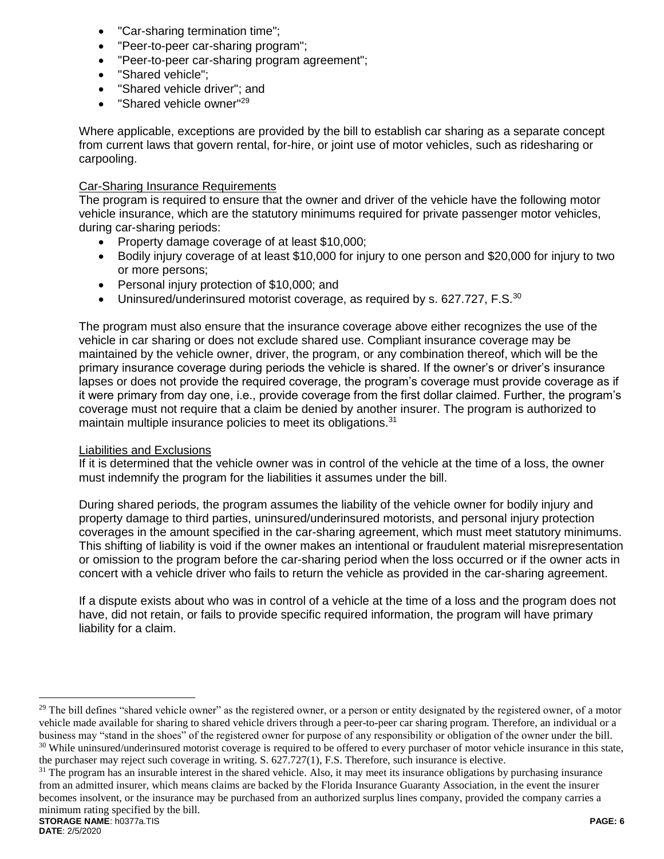- "Car-sharing termination time";
- "Peer-to-peer car-sharing program";
- "Peer-to-peer car-sharing program agreement";
- "Shared vehicle":
- "Shared vehicle driver"; and
- "Shared vehicle owner"<sup>29</sup>

Where applicable, exceptions are provided by the bill to establish car sharing as a separate concept from current laws that govern rental, for-hire, or joint use of motor vehicles, such as ridesharing or carpooling.

### Car-Sharing Insurance Requirements

The program is required to ensure that the owner and driver of the vehicle have the following motor vehicle insurance, which are the statutory minimums required for private passenger motor vehicles, during car-sharing periods:

- Property damage coverage of at least \$10,000;
- Bodily injury coverage of at least \$10,000 for injury to one person and \$20,000 for injury to two or more persons;
- Personal injury protection of \$10,000; and
- Uninsured/underinsured motorist coverage, as required by s. 627.727, F.S.<sup>30</sup>

The program must also ensure that the insurance coverage above either recognizes the use of the vehicle in car sharing or does not exclude shared use. Compliant insurance coverage may be maintained by the vehicle owner, driver, the program, or any combination thereof, which will be the primary insurance coverage during periods the vehicle is shared. If the owner's or driver's insurance lapses or does not provide the required coverage, the program's coverage must provide coverage as if it were primary from day one, i.e., provide coverage from the first dollar claimed. Further, the program's coverage must not require that a claim be denied by another insurer. The program is authorized to maintain multiple insurance policies to meet its obligations.<sup>31</sup>

## Liabilities and Exclusions

If it is determined that the vehicle owner was in control of the vehicle at the time of a loss, the owner must indemnify the program for the liabilities it assumes under the bill.

During shared periods, the program assumes the liability of the vehicle owner for bodily injury and property damage to third parties, uninsured/underinsured motorists, and personal injury protection coverages in the amount specified in the car-sharing agreement, which must meet statutory minimums. This shifting of liability is void if the owner makes an intentional or fraudulent material misrepresentation or omission to the program before the car-sharing period when the loss occurred or if the owner acts in concert with a vehicle driver who fails to return the vehicle as provided in the car-sharing agreement.

If a dispute exists about who was in control of a vehicle at the time of a loss and the program does not have, did not retain, or fails to provide specific required information, the program will have primary liability for a claim.

<sup>&</sup>lt;sup>29</sup> The bill defines "shared vehicle owner" as the registered owner, or a person or entity designated by the registered owner, of a motor vehicle made available for sharing to shared vehicle drivers through a peer-to-peer car sharing program. Therefore, an individual or a business may "stand in the shoes" of the registered owner for purpose of any responsibility or obligation of the owner under the bill. <sup>30</sup> While uninsured/underinsured motorist coverage is required to be offered to every purchaser of motor vehicle insurance in this state, the purchaser may reject such coverage in writing. S. 627.727(1), F.S. Therefore, such insurance is elective.

**STORAGE NAME**: h0377a.TIS **PAGE: 6**  $31$  The program has an insurable interest in the shared vehicle. Also, it may meet its insurance obligations by purchasing insurance from an admitted insurer, which means claims are backed by the Florida Insurance Guaranty Association, in the event the insurer becomes insolvent, or the insurance may be purchased from an authorized surplus lines company, provided the company carries a minimum rating specified by the bill.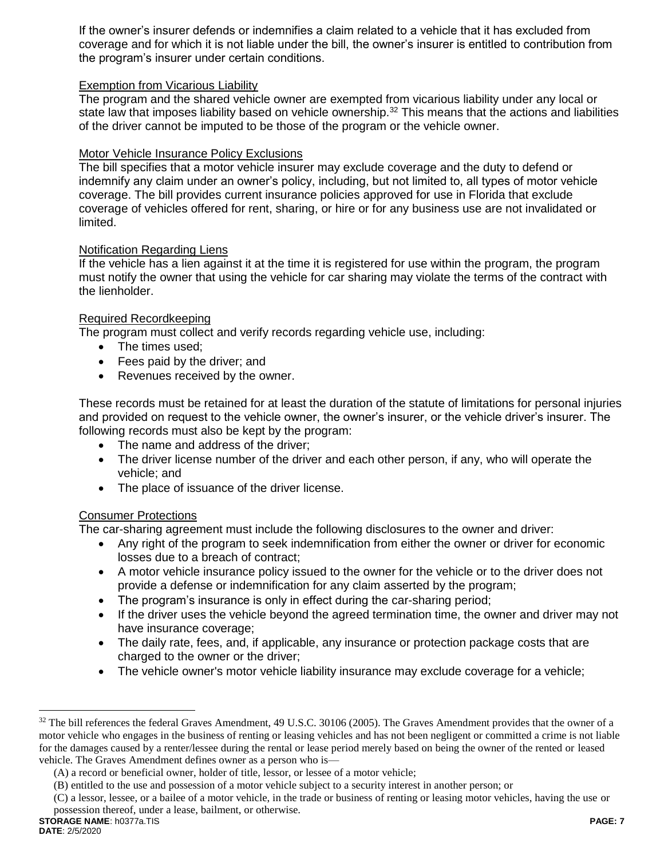If the owner's insurer defends or indemnifies a claim related to a vehicle that it has excluded from coverage and for which it is not liable under the bill, the owner's insurer is entitled to contribution from the program's insurer under certain conditions.

## Exemption from Vicarious Liability

The program and the shared vehicle owner are exempted from vicarious liability under any local or state law that imposes liability based on vehicle ownership.<sup>32</sup> This means that the actions and liabilities of the driver cannot be imputed to be those of the program or the vehicle owner.

#### Motor Vehicle Insurance Policy Exclusions

The bill specifies that a motor vehicle insurer may exclude coverage and the duty to defend or indemnify any claim under an owner's policy, including, but not limited to, all types of motor vehicle coverage. The bill provides current insurance policies approved for use in Florida that exclude coverage of vehicles offered for rent, sharing, or hire or for any business use are not invalidated or limited.

#### Notification Regarding Liens

If the vehicle has a lien against it at the time it is registered for use within the program, the program must notify the owner that using the vehicle for car sharing may violate the terms of the contract with the lienholder.

#### Required Recordkeeping

The program must collect and verify records regarding vehicle use, including:

- The times used:
- Fees paid by the driver; and
- Revenues received by the owner.

These records must be retained for at least the duration of the statute of limitations for personal injuries and provided on request to the vehicle owner, the owner's insurer, or the vehicle driver's insurer. The following records must also be kept by the program:

- The name and address of the driver;
- The driver license number of the driver and each other person, if any, who will operate the vehicle; and
- The place of issuance of the driver license.

## Consumer Protections

The car-sharing agreement must include the following disclosures to the owner and driver:

- Any right of the program to seek indemnification from either the owner or driver for economic losses due to a breach of contract;
- A motor vehicle insurance policy issued to the owner for the vehicle or to the driver does not provide a defense or indemnification for any claim asserted by the program;
- The program's insurance is only in effect during the car-sharing period;
- If the driver uses the vehicle beyond the agreed termination time, the owner and driver may not have insurance coverage;
- The daily rate, fees, and, if applicable, any insurance or protection package costs that are charged to the owner or the driver;
- The vehicle owner's motor vehicle liability insurance may exclude coverage for a vehicle;

<sup>&</sup>lt;sup>32</sup> The bill references the federal Graves Amendment, 49 U.S.C. 30106 (2005). The Graves Amendment provides that the owner of a motor vehicle who engages in the business of renting or leasing vehicles and has not been negligent or committed a crime is not liable for the damages caused by a renter/lessee during the rental or lease period merely based on being the owner of the rented or leased vehicle. The Graves Amendment defines owner as a person who is—

<sup>(</sup>A) a record or beneficial owner, holder of title, lessor, or lessee of a motor vehicle;

<sup>(</sup>B) entitled to the use and possession of a motor vehicle subject to a security interest in another person; or

<sup>(</sup>C) a lessor, lessee, or a bailee of a motor vehicle, in the trade or business of renting or leasing motor vehicles, having the use or possession thereof, under a lease, bailment, or otherwise.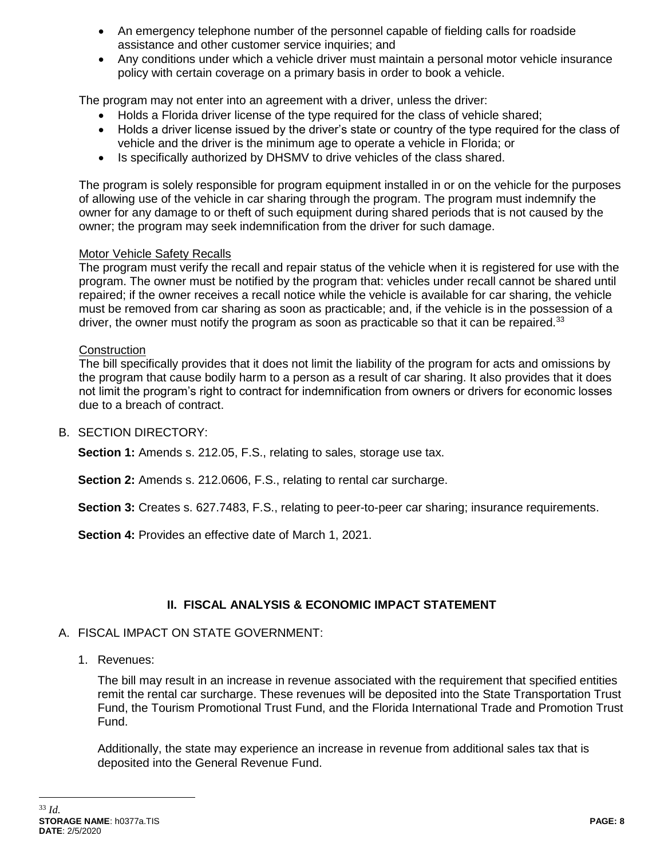- An emergency telephone number of the personnel capable of fielding calls for roadside assistance and other customer service inquiries; and
- Any conditions under which a vehicle driver must maintain a personal motor vehicle insurance policy with certain coverage on a primary basis in order to book a vehicle.

The program may not enter into an agreement with a driver, unless the driver:

- Holds a Florida driver license of the type required for the class of vehicle shared;
- Holds a driver license issued by the driver's state or country of the type required for the class of vehicle and the driver is the minimum age to operate a vehicle in Florida; or
- Is specifically authorized by DHSMV to drive vehicles of the class shared.

The program is solely responsible for program equipment installed in or on the vehicle for the purposes of allowing use of the vehicle in car sharing through the program. The program must indemnify the owner for any damage to or theft of such equipment during shared periods that is not caused by the owner; the program may seek indemnification from the driver for such damage.

## Motor Vehicle Safety Recalls

The program must verify the recall and repair status of the vehicle when it is registered for use with the program. The owner must be notified by the program that: vehicles under recall cannot be shared until repaired; if the owner receives a recall notice while the vehicle is available for car sharing, the vehicle must be removed from car sharing as soon as practicable; and, if the vehicle is in the possession of a driver, the owner must notify the program as soon as practicable so that it can be repaired. $33$ 

### **Construction**

The bill specifically provides that it does not limit the liability of the program for acts and omissions by the program that cause bodily harm to a person as a result of car sharing. It also provides that it does not limit the program's right to contract for indemnification from owners or drivers for economic losses due to a breach of contract.

### B. SECTION DIRECTORY:

**Section 1:** Amends s. 212.05, F.S., relating to sales, storage use tax.

**Section 2:** Amends s. 212.0606, F.S., relating to rental car surcharge.

**Section 3:** Creates s. 627.7483, F.S., relating to peer-to-peer car sharing; insurance requirements.

**Section 4:** Provides an effective date of March 1, 2021.

# **II. FISCAL ANALYSIS & ECONOMIC IMPACT STATEMENT**

## A. FISCAL IMPACT ON STATE GOVERNMENT:

1. Revenues:

The bill may result in an increase in revenue associated with the requirement that specified entities remit the rental car surcharge. These revenues will be deposited into the State Transportation Trust Fund, the Tourism Promotional Trust Fund, and the Florida International Trade and Promotion Trust Fund.

Additionally, the state may experience an increase in revenue from additional sales tax that is deposited into the General Revenue Fund.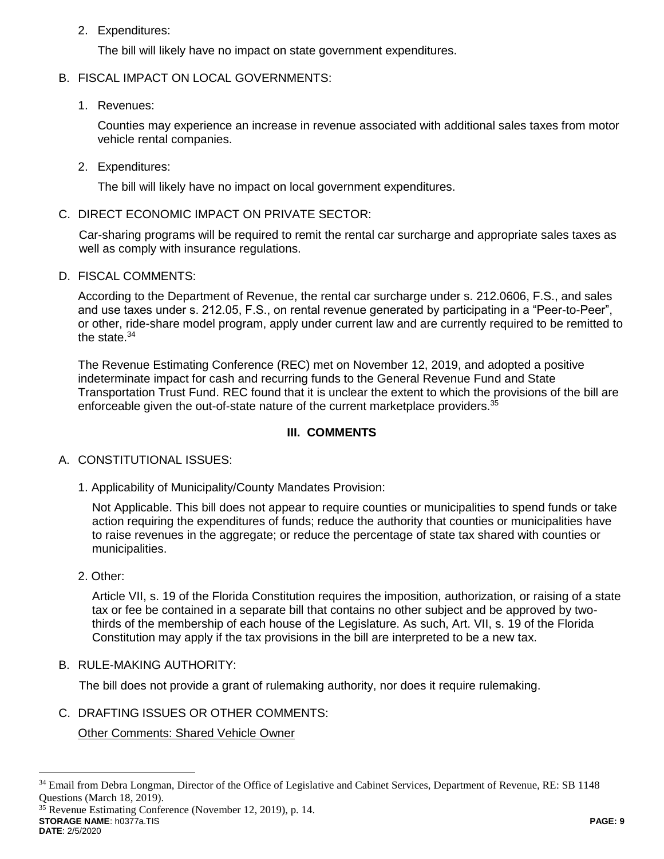2. Expenditures:

The bill will likely have no impact on state government expenditures.

## B. FISCAL IMPACT ON LOCAL GOVERNMENTS:

1. Revenues:

Counties may experience an increase in revenue associated with additional sales taxes from motor vehicle rental companies.

2. Expenditures:

The bill will likely have no impact on local government expenditures.

C. DIRECT ECONOMIC IMPACT ON PRIVATE SECTOR:

Car-sharing programs will be required to remit the rental car surcharge and appropriate sales taxes as well as comply with insurance regulations.

D. FISCAL COMMENTS:

According to the Department of Revenue, the rental car surcharge under s. 212.0606, F.S., and sales and use taxes under s. 212.05, F.S., on rental revenue generated by participating in a "Peer-to-Peer", or other, ride-share model program, apply under current law and are currently required to be remitted to the state.<sup>34</sup>

The Revenue Estimating Conference (REC) met on November 12, 2019, and adopted a positive indeterminate impact for cash and recurring funds to the General Revenue Fund and State Transportation Trust Fund. REC found that it is unclear the extent to which the provisions of the bill are enforceable given the out-of-state nature of the current marketplace providers.<sup>35</sup>

# **III. COMMENTS**

- A. CONSTITUTIONAL ISSUES:
	- 1. Applicability of Municipality/County Mandates Provision:

Not Applicable. This bill does not appear to require counties or municipalities to spend funds or take action requiring the expenditures of funds; reduce the authority that counties or municipalities have to raise revenues in the aggregate; or reduce the percentage of state tax shared with counties or municipalities.

2. Other:

Article VII, s. 19 of the Florida Constitution requires the imposition, authorization, or raising of a state tax or fee be contained in a separate bill that contains no other subject and be approved by twothirds of the membership of each house of the Legislature. As such, Art. VII, s. 19 of the Florida Constitution may apply if the tax provisions in the bill are interpreted to be a new tax.

B. RULE-MAKING AUTHORITY:

The bill does not provide a grant of rulemaking authority, nor does it require rulemaking.

C. DRAFTING ISSUES OR OTHER COMMENTS:

Other Comments: Shared Vehicle Owner

**STORAGE NAME**: h0377a.TIS **PAGE: 9** <sup>35</sup> Revenue Estimating Conference (November 12, 2019), p. 14.

<sup>34</sup> Email from Debra Longman, Director of the Office of Legislative and Cabinet Services, Department of Revenue, RE: SB 1148 Questions (March 18, 2019).